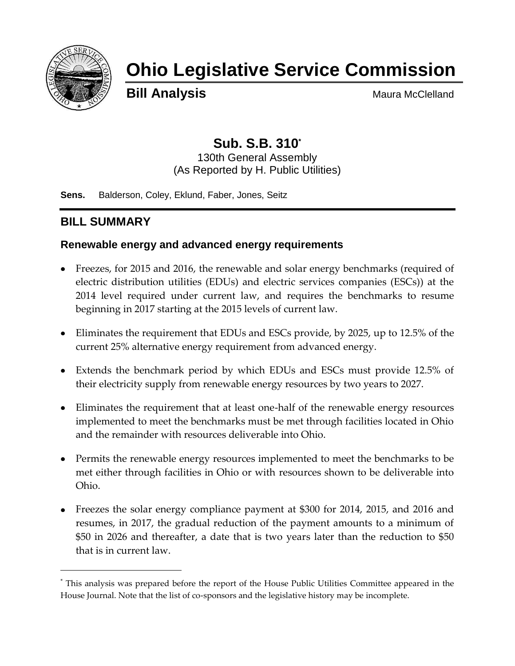

# **Ohio Legislative Service Commission**

**Bill Analysis** Maura McClelland

## **Sub. S.B. 310\***

130th General Assembly (As Reported by H. Public Utilities)

**Sens.** Balderson, Coley, Eklund, Faber, Jones, Seitz

## **BILL SUMMARY**

l

## **Renewable energy and advanced energy requirements**

- Freezes, for 2015 and 2016, the renewable and solar energy benchmarks (required of electric distribution utilities (EDUs) and electric services companies (ESCs)) at the 2014 level required under current law, and requires the benchmarks to resume beginning in 2017 starting at the 2015 levels of current law.
- Eliminates the requirement that EDUs and ESCs provide, by 2025, up to 12.5% of the current 25% alternative energy requirement from advanced energy.
- Extends the benchmark period by which EDUs and ESCs must provide 12.5% of their electricity supply from renewable energy resources by two years to 2027.
- Eliminates the requirement that at least one-half of the renewable energy resources implemented to meet the benchmarks must be met through facilities located in Ohio and the remainder with resources deliverable into Ohio.
- Permits the renewable energy resources implemented to meet the benchmarks to be met either through facilities in Ohio or with resources shown to be deliverable into Ohio.
- Freezes the solar energy compliance payment at \$300 for 2014, 2015, and 2016 and resumes, in 2017, the gradual reduction of the payment amounts to a minimum of \$50 in 2026 and thereafter, a date that is two years later than the reduction to \$50 that is in current law.

<sup>\*</sup> This analysis was prepared before the report of the House Public Utilities Committee appeared in the House Journal. Note that the list of co-sponsors and the legislative history may be incomplete.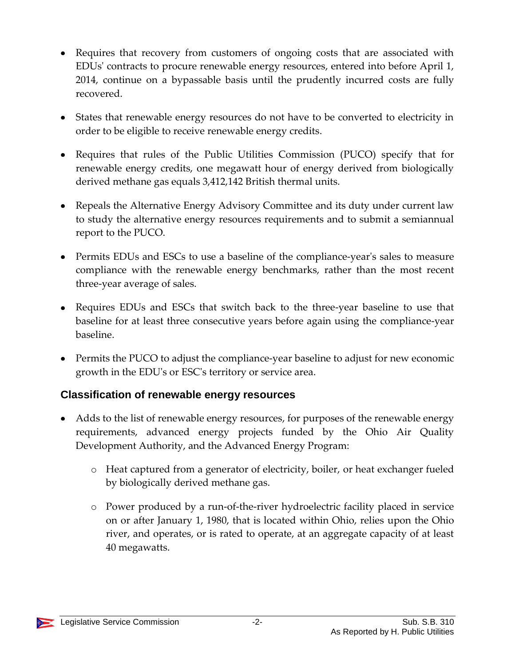- Requires that recovery from customers of ongoing costs that are associated with EDUs' contracts to procure renewable energy resources, entered into before April 1, 2014, continue on a bypassable basis until the prudently incurred costs are fully recovered.
- States that renewable energy resources do not have to be converted to electricity in order to be eligible to receive renewable energy credits.
- Requires that rules of the Public Utilities Commission (PUCO) specify that for renewable energy credits, one megawatt hour of energy derived from biologically derived methane gas equals 3,412,142 British thermal units.
- Repeals the Alternative Energy Advisory Committee and its duty under current law to study the alternative energy resources requirements and to submit a semiannual report to the PUCO.
- Permits EDUs and ESCs to use a baseline of the compliance-year's sales to measure compliance with the renewable energy benchmarks, rather than the most recent three-year average of sales.
- Requires EDUs and ESCs that switch back to the three-year baseline to use that baseline for at least three consecutive years before again using the compliance-year baseline.
- Permits the PUCO to adjust the compliance-year baseline to adjust for new economic growth in the EDU's or ESC's territory or service area.

## **Classification of renewable energy resources**

- Adds to the list of renewable energy resources, for purposes of the renewable energy requirements, advanced energy projects funded by the Ohio Air Quality Development Authority, and the Advanced Energy Program:
	- o Heat captured from a generator of electricity, boiler, or heat exchanger fueled by biologically derived methane gas.
	- o Power produced by a run-of-the-river hydroelectric facility placed in service on or after January 1, 1980, that is located within Ohio, relies upon the Ohio river, and operates, or is rated to operate, at an aggregate capacity of at least 40 megawatts.

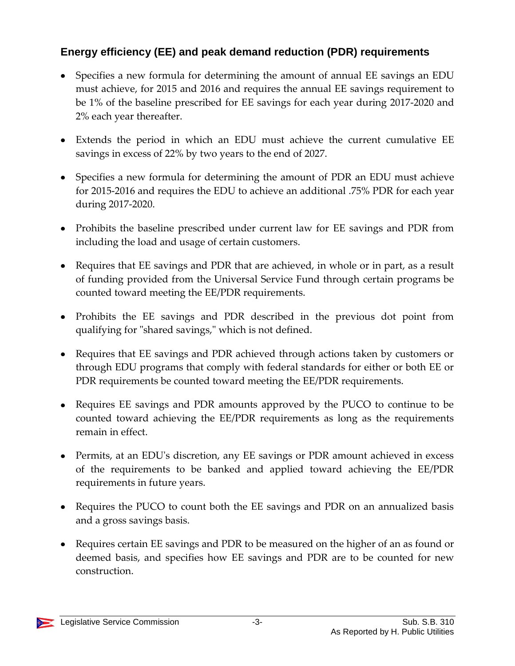## **Energy efficiency (EE) and peak demand reduction (PDR) requirements**

- Specifies a new formula for determining the amount of annual EE savings an EDU must achieve, for 2015 and 2016 and requires the annual EE savings requirement to be 1% of the baseline prescribed for EE savings for each year during 2017-2020 and 2% each year thereafter.
- Extends the period in which an EDU must achieve the current cumulative EE savings in excess of 22% by two years to the end of 2027.
- Specifies a new formula for determining the amount of PDR an EDU must achieve for 2015-2016 and requires the EDU to achieve an additional .75% PDR for each year during 2017-2020.
- Prohibits the baseline prescribed under current law for EE savings and PDR from including the load and usage of certain customers.
- Requires that EE savings and PDR that are achieved, in whole or in part, as a result of funding provided from the Universal Service Fund through certain programs be counted toward meeting the EE/PDR requirements.
- Prohibits the EE savings and PDR described in the previous dot point from qualifying for "shared savings," which is not defined.
- Requires that EE savings and PDR achieved through actions taken by customers or through EDU programs that comply with federal standards for either or both EE or PDR requirements be counted toward meeting the EE/PDR requirements.
- Requires EE savings and PDR amounts approved by the PUCO to continue to be counted toward achieving the EE/PDR requirements as long as the requirements remain in effect.
- Permits, at an EDU's discretion, any EE savings or PDR amount achieved in excess of the requirements to be banked and applied toward achieving the EE/PDR requirements in future years.
- Requires the PUCO to count both the EE savings and PDR on an annualized basis and a gross savings basis.
- Requires certain EE savings and PDR to be measured on the higher of an as found or deemed basis, and specifies how EE savings and PDR are to be counted for new construction.

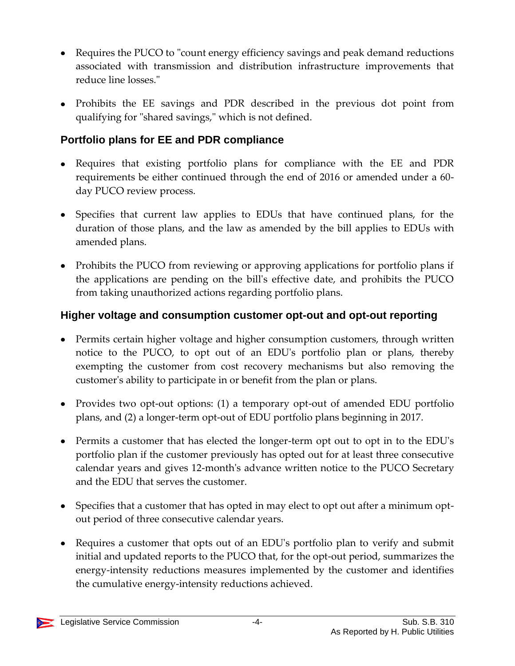- Requires the PUCO to "count energy efficiency savings and peak demand reductions associated with transmission and distribution infrastructure improvements that reduce line losses."
- Prohibits the EE savings and PDR described in the previous dot point from qualifying for "shared savings," which is not defined.

## **Portfolio plans for EE and PDR compliance**

- Requires that existing portfolio plans for compliance with the EE and PDR requirements be either continued through the end of 2016 or amended under a 60 day PUCO review process.
- Specifies that current law applies to EDUs that have continued plans, for the duration of those plans, and the law as amended by the bill applies to EDUs with amended plans.
- Prohibits the PUCO from reviewing or approving applications for portfolio plans if the applications are pending on the bill's effective date, and prohibits the PUCO from taking unauthorized actions regarding portfolio plans.

## **Higher voltage and consumption customer opt-out and opt-out reporting**

- Permits certain higher voltage and higher consumption customers, through written notice to the PUCO, to opt out of an EDU's portfolio plan or plans, thereby exempting the customer from cost recovery mechanisms but also removing the customer's ability to participate in or benefit from the plan or plans.
- Provides two opt-out options: (1) a temporary opt-out of amended EDU portfolio plans, and (2) a longer-term opt-out of EDU portfolio plans beginning in 2017.
- Permits a customer that has elected the longer-term opt out to opt in to the EDU's portfolio plan if the customer previously has opted out for at least three consecutive calendar years and gives 12-month's advance written notice to the PUCO Secretary and the EDU that serves the customer.
- Specifies that a customer that has opted in may elect to opt out after a minimum optout period of three consecutive calendar years.
- Requires a customer that opts out of an EDU's portfolio plan to verify and submit initial and updated reports to the PUCO that, for the opt-out period, summarizes the energy-intensity reductions measures implemented by the customer and identifies the cumulative energy-intensity reductions achieved.

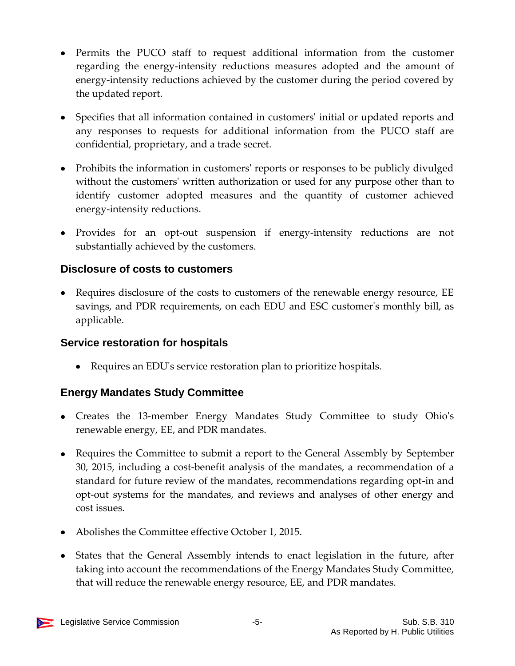- Permits the PUCO staff to request additional information from the customer regarding the energy-intensity reductions measures adopted and the amount of energy-intensity reductions achieved by the customer during the period covered by the updated report.
- Specifies that all information contained in customers' initial or updated reports and any responses to requests for additional information from the PUCO staff are confidential, proprietary, and a trade secret.
- Prohibits the information in customers' reports or responses to be publicly divulged without the customers' written authorization or used for any purpose other than to identify customer adopted measures and the quantity of customer achieved energy-intensity reductions.
- Provides for an opt-out suspension if energy-intensity reductions are not substantially achieved by the customers.

## **Disclosure of costs to customers**

• Requires disclosure of the costs to customers of the renewable energy resource, EE savings, and PDR requirements, on each EDU and ESC customer's monthly bill, as applicable.

## **Service restoration for hospitals**

Requires an EDU's service restoration plan to prioritize hospitals.

## **Energy Mandates Study Committee**

- Creates the 13-member Energy Mandates Study Committee to study Ohio's renewable energy, EE, and PDR mandates.
- Requires the Committee to submit a report to the General Assembly by September 30, 2015, including a cost-benefit analysis of the mandates, a recommendation of a standard for future review of the mandates, recommendations regarding opt-in and opt-out systems for the mandates, and reviews and analyses of other energy and cost issues.
- Abolishes the Committee effective October 1, 2015.
- States that the General Assembly intends to enact legislation in the future, after taking into account the recommendations of the Energy Mandates Study Committee, that will reduce the renewable energy resource, EE, and PDR mandates.

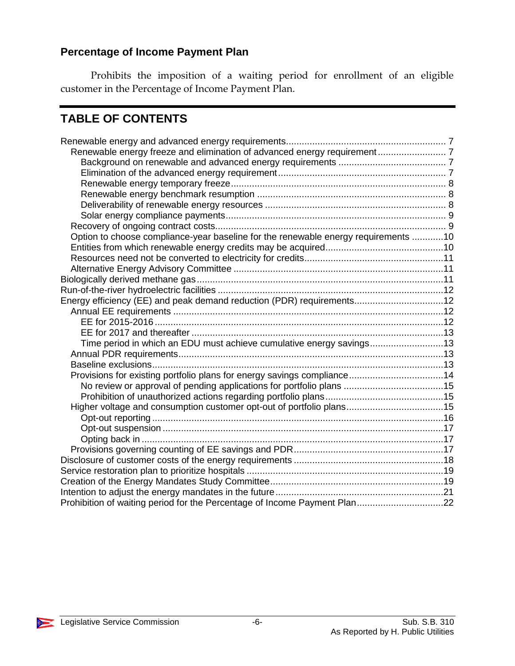## **Percentage of Income Payment Plan**

Prohibits the imposition of a waiting period for enrollment of an eligible customer in the Percentage of Income Payment Plan.

## **TABLE OF CONTENTS**

| Renewable energy freeze and elimination of advanced energy requirement 7           |  |
|------------------------------------------------------------------------------------|--|
|                                                                                    |  |
|                                                                                    |  |
|                                                                                    |  |
|                                                                                    |  |
|                                                                                    |  |
|                                                                                    |  |
|                                                                                    |  |
| Option to choose compliance-year baseline for the renewable energy requirements 10 |  |
|                                                                                    |  |
|                                                                                    |  |
|                                                                                    |  |
|                                                                                    |  |
|                                                                                    |  |
| Energy efficiency (EE) and peak demand reduction (PDR) requirements12              |  |
|                                                                                    |  |
|                                                                                    |  |
|                                                                                    |  |
| Time period in which an EDU must achieve cumulative energy savings13               |  |
|                                                                                    |  |
|                                                                                    |  |
| Provisions for existing portfolio plans for energy savings compliance14            |  |
|                                                                                    |  |
|                                                                                    |  |
|                                                                                    |  |
|                                                                                    |  |
|                                                                                    |  |
|                                                                                    |  |
|                                                                                    |  |
|                                                                                    |  |
|                                                                                    |  |
|                                                                                    |  |
|                                                                                    |  |
| Prohibition of waiting period for the Percentage of Income Payment Plan22          |  |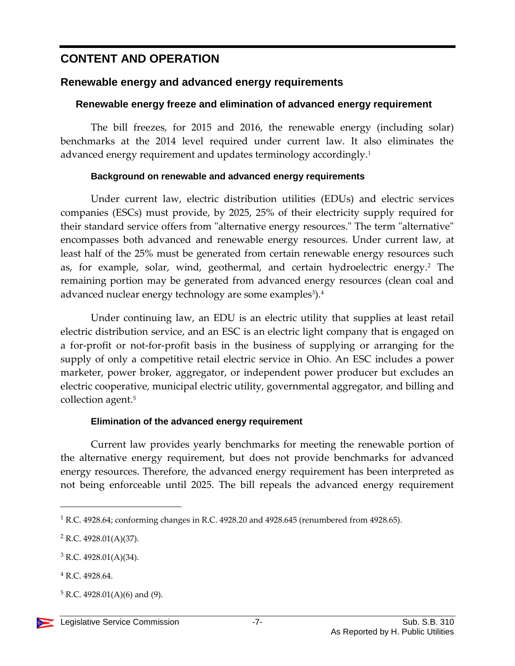## **CONTENT AND OPERATION**

## <span id="page-6-0"></span>**Renewable energy and advanced energy requirements**

#### <span id="page-6-1"></span>**Renewable energy freeze and elimination of advanced energy requirement**

The bill freezes, for 2015 and 2016, the renewable energy (including solar) benchmarks at the 2014 level required under current law. It also eliminates the advanced energy requirement and updates terminology accordingly.<sup>1</sup>

#### **Background on renewable and advanced energy requirements**

<span id="page-6-2"></span>Under current law, electric distribution utilities (EDUs) and electric services companies (ESCs) must provide, by 2025, 25% of their electricity supply required for their standard service offers from "alternative energy resources." The term "alternative" encompasses both advanced and renewable energy resources. Under current law, at least half of the 25% must be generated from certain renewable energy resources such as, for example, solar, wind, geothermal, and certain hydroelectric energy.<sup>2</sup> The remaining portion may be generated from advanced energy resources (clean coal and advanced nuclear energy technology are some examples<sup>3</sup>).<sup>4</sup>

Under continuing law, an EDU is an electric utility that supplies at least retail electric distribution service, and an ESC is an electric light company that is engaged on a for-profit or not-for-profit basis in the business of supplying or arranging for the supply of only a competitive retail electric service in Ohio. An ESC includes a power marketer, power broker, aggregator, or independent power producer but excludes an electric cooperative, municipal electric utility, governmental aggregator, and billing and collection agent. 5

## **Elimination of the advanced energy requirement**

<span id="page-6-3"></span>Current law provides yearly benchmarks for meeting the renewable portion of the alternative energy requirement, but does not provide benchmarks for advanced energy resources. Therefore, the advanced energy requirement has been interpreted as not being enforceable until 2025. The bill repeals the advanced energy requirement

<sup>&</sup>lt;sup>1</sup> R.C. 4928.64; conforming changes in R.C. 4928.20 and 4928.645 (renumbered from 4928.65).

 $2$  R.C. 4928.01(A)(37).

 $3$  R.C. 4928.01(A)(34).

<sup>4</sup> R.C. 4928.64.

 $5 R.C. 4928.01(A)(6)$  and (9).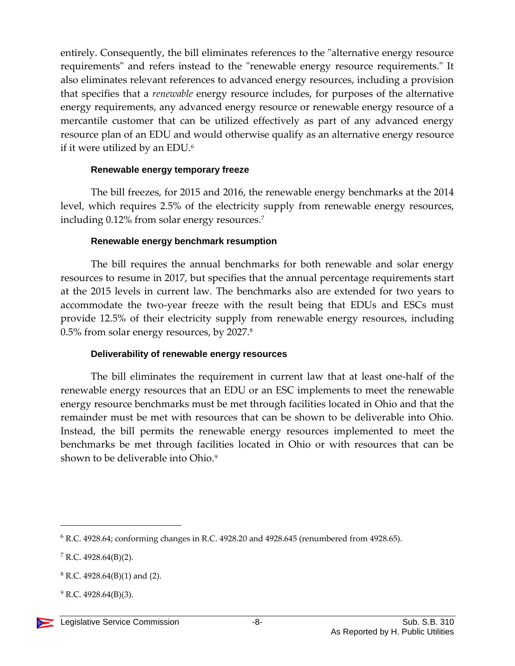entirely. Consequently, the bill eliminates references to the "alternative energy resource requirements" and refers instead to the "renewable energy resource requirements." It also eliminates relevant references to advanced energy resources, including a provision that specifies that a *renewable* energy resource includes, for purposes of the alternative energy requirements, any advanced energy resource or renewable energy resource of a mercantile customer that can be utilized effectively as part of any advanced energy resource plan of an EDU and would otherwise qualify as an alternative energy resource if it were utilized by an EDU.<sup>6</sup>

#### **Renewable energy temporary freeze**

<span id="page-7-0"></span>The bill freezes, for 2015 and 2016, the renewable energy benchmarks at the 2014 level, which requires 2.5% of the electricity supply from renewable energy resources, including 0.12% from solar energy resources.<sup>7</sup>

#### **Renewable energy benchmark resumption**

<span id="page-7-1"></span>The bill requires the annual benchmarks for both renewable and solar energy resources to resume in 2017, but specifies that the annual percentage requirements start at the 2015 levels in current law. The benchmarks also are extended for two years to accommodate the two-year freeze with the result being that EDUs and ESCs must provide 12.5% of their electricity supply from renewable energy resources, including 0.5% from solar energy resources, by 2027.<sup>8</sup>

#### **Deliverability of renewable energy resources**

<span id="page-7-2"></span>The bill eliminates the requirement in current law that at least one-half of the renewable energy resources that an EDU or an ESC implements to meet the renewable energy resource benchmarks must be met through facilities located in Ohio and that the remainder must be met with resources that can be shown to be deliverable into Ohio. Instead, the bill permits the renewable energy resources implemented to meet the benchmarks be met through facilities located in Ohio or with resources that can be shown to be deliverable into Ohio. 9

<sup>6</sup> R.C. 4928.64; conforming changes in R.C. 4928.20 and 4928.645 (renumbered from 4928.65).

<sup>7</sup> R.C. 4928.64(B)(2).

 $8$  R.C. 4928.64(B)(1) and (2).

 $^{9}$  R.C. 4928.64(B)(3).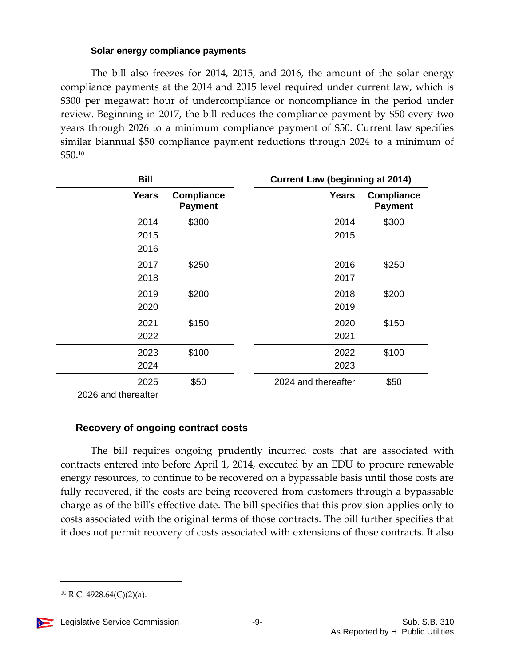#### **Solar energy compliance payments**

<span id="page-8-0"></span>The bill also freezes for 2014, 2015, and 2016, the amount of the solar energy compliance payments at the 2014 and 2015 level required under current law, which is \$300 per megawatt hour of undercompliance or noncompliance in the period under review. Beginning in 2017, the bill reduces the compliance payment by \$50 every two years through 2026 to a minimum compliance payment of \$50. Current law specifies similar biannual \$50 compliance payment reductions through 2024 to a minimum of \$50.<sup>10</sup>

| <b>Bill</b>         |                                     | <b>Current Law (beginning at 2014)</b> |                                     |
|---------------------|-------------------------------------|----------------------------------------|-------------------------------------|
| Years               | <b>Compliance</b><br><b>Payment</b> | Years                                  | <b>Compliance</b><br><b>Payment</b> |
| 2014                | \$300                               | 2014                                   | \$300                               |
| 2015                |                                     | 2015                                   |                                     |
| 2016                |                                     |                                        |                                     |
| 2017                | \$250                               | 2016                                   | \$250                               |
| 2018                |                                     | 2017                                   |                                     |
| 2019                | \$200                               | 2018                                   | \$200                               |
| 2020                |                                     | 2019                                   |                                     |
| 2021                | \$150                               | 2020                                   | \$150                               |
| 2022                |                                     | 2021                                   |                                     |
| 2023                | \$100                               | 2022                                   | \$100                               |
| 2024                |                                     | 2023                                   |                                     |
| 2025                | \$50                                | 2024 and thereafter                    | \$50                                |
| 2026 and thereafter |                                     |                                        |                                     |

#### <span id="page-8-1"></span>**Recovery of ongoing contract costs**

The bill requires ongoing prudently incurred costs that are associated with contracts entered into before April 1, 2014, executed by an EDU to procure renewable energy resources, to continue to be recovered on a bypassable basis until those costs are fully recovered, if the costs are being recovered from customers through a bypassable charge as of the bill's effective date. The bill specifies that this provision applies only to costs associated with the original terms of those contracts. The bill further specifies that it does not permit recovery of costs associated with extensions of those contracts. It also

 $10$  R.C. 4928.64(C)(2)(a).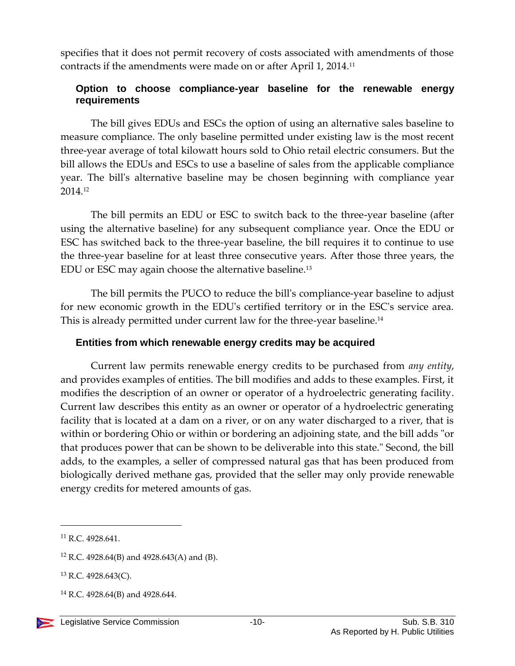specifies that it does not permit recovery of costs associated with amendments of those contracts if the amendments were made on or after April 1, 2014.<sup>11</sup>

#### <span id="page-9-0"></span>**Option to choose compliance-year baseline for the renewable energy requirements**

The bill gives EDUs and ESCs the option of using an alternative sales baseline to measure compliance. The only baseline permitted under existing law is the most recent three-year average of total kilowatt hours sold to Ohio retail electric consumers. But the bill allows the EDUs and ESCs to use a baseline of sales from the applicable compliance year. The bill's alternative baseline may be chosen beginning with compliance year 2014. 12

The bill permits an EDU or ESC to switch back to the three-year baseline (after using the alternative baseline) for any subsequent compliance year. Once the EDU or ESC has switched back to the three-year baseline, the bill requires it to continue to use the three-year baseline for at least three consecutive years. After those three years, the EDU or ESC may again choose the alternative baseline. 13

The bill permits the PUCO to reduce the bill's compliance-year baseline to adjust for new economic growth in the EDU's certified territory or in the ESC's service area. This is already permitted under current law for the three-year baseline.<sup>14</sup>

## <span id="page-9-1"></span>**Entities from which renewable energy credits may be acquired**

Current law permits renewable energy credits to be purchased from *any entity*, and provides examples of entities. The bill modifies and adds to these examples. First, it modifies the description of an owner or operator of a hydroelectric generating facility. Current law describes this entity as an owner or operator of a hydroelectric generating facility that is located at a dam on a river, or on any water discharged to a river, that is within or bordering Ohio or within or bordering an adjoining state, and the bill adds "or that produces power that can be shown to be deliverable into this state." Second, the bill adds, to the examples, a seller of compressed natural gas that has been produced from biologically derived methane gas, provided that the seller may only provide renewable energy credits for metered amounts of gas.

<sup>&</sup>lt;sup>11</sup> R.C. 4928.641.

<sup>12</sup> R.C. 4928.64(B) and 4928.643(A) and (B).

<sup>13</sup> R.C. 4928.643(C).

<sup>14</sup> R.C. 4928.64(B) and 4928.644.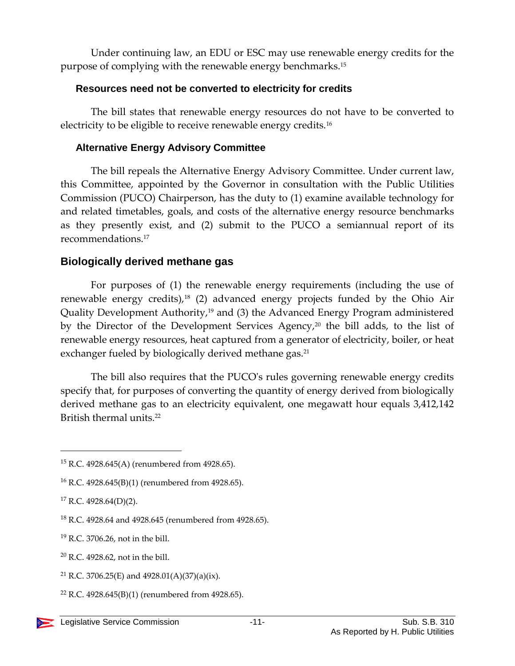Under continuing law, an EDU or ESC may use renewable energy credits for the purpose of complying with the renewable energy benchmarks.<sup>15</sup>

#### <span id="page-10-0"></span>**Resources need not be converted to electricity for credits**

The bill states that renewable energy resources do not have to be converted to electricity to be eligible to receive renewable energy credits.<sup>16</sup>

## <span id="page-10-1"></span>**Alternative Energy Advisory Committee**

The bill repeals the Alternative Energy Advisory Committee. Under current law, this Committee, appointed by the Governor in consultation with the Public Utilities Commission (PUCO) Chairperson, has the duty to (1) examine available technology for and related timetables, goals, and costs of the alternative energy resource benchmarks as they presently exist, and (2) submit to the PUCO a semiannual report of its recommendations.<sup>17</sup>

## <span id="page-10-2"></span>**Biologically derived methane gas**

For purposes of (1) the renewable energy requirements (including the use of renewable energy credits), $18$  (2) advanced energy projects funded by the Ohio Air Quality Development Authority,<sup>19</sup> and (3) the Advanced Energy Program administered by the Director of the Development Services Agency,<sup>20</sup> the bill adds, to the list of renewable energy resources, heat captured from a generator of electricity, boiler, or heat exchanger fueled by biologically derived methane gas.<sup>21</sup>

The bill also requires that the PUCO's rules governing renewable energy credits specify that, for purposes of converting the quantity of energy derived from biologically derived methane gas to an electricity equivalent, one megawatt hour equals 3,412,142 British thermal units.<sup>22</sup>

 $\overline{a}$ 

<sup>19</sup> R.C. 3706.26, not in the bill.

<sup>22</sup> R.C. 4928.645(B)(1) (renumbered from 4928.65).

<sup>15</sup> R.C. 4928.645(A) (renumbered from 4928.65).

<sup>16</sup> R.C. 4928.645(B)(1) (renumbered from 4928.65).

 $17$  R.C. 4928.64(D)(2).

<sup>18</sup> R.C. 4928.64 and 4928.645 (renumbered from 4928.65).

<sup>20</sup> R.C. 4928.62, not in the bill.

<sup>&</sup>lt;sup>21</sup> R.C. 3706.25(E) and 4928.01(A)(37)(a)(ix).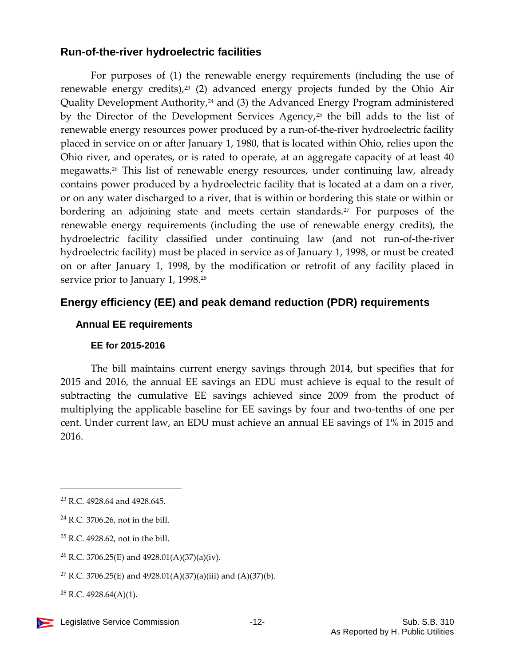## <span id="page-11-0"></span>**Run-of-the-river hydroelectric facilities**

For purposes of (1) the renewable energy requirements (including the use of renewable energy credits), $23$  (2) advanced energy projects funded by the Ohio Air Quality Development Authority,<sup>24</sup> and (3) the Advanced Energy Program administered by the Director of the Development Services Agency,<sup>25</sup> the bill adds to the list of renewable energy resources power produced by a run-of-the-river hydroelectric facility placed in service on or after January 1, 1980, that is located within Ohio, relies upon the Ohio river, and operates, or is rated to operate, at an aggregate capacity of at least 40 megawatts. <sup>26</sup> This list of renewable energy resources, under continuing law, already contains power produced by a hydroelectric facility that is located at a dam on a river, or on any water discharged to a river, that is within or bordering this state or within or bordering an adjoining state and meets certain standards.<sup>27</sup> For purposes of the renewable energy requirements (including the use of renewable energy credits), the hydroelectric facility classified under continuing law (and not run-of-the-river hydroelectric facility) must be placed in service as of January 1, 1998, or must be created on or after January 1, 1998, by the modification or retrofit of any facility placed in service prior to January 1, 1998.<sup>28</sup>

## <span id="page-11-1"></span>**Energy efficiency (EE) and peak demand reduction (PDR) requirements**

## <span id="page-11-2"></span>**Annual EE requirements**

## **EE for 2015-2016**

<span id="page-11-3"></span>The bill maintains current energy savings through 2014, but specifies that for 2015 and 2016, the annual EE savings an EDU must achieve is equal to the result of subtracting the cumulative EE savings achieved since 2009 from the product of multiplying the applicable baseline for EE savings by four and two-tenths of one per cent. Under current law, an EDU must achieve an annual EE savings of 1% in 2015 and 2016.

<sup>23</sup> R.C. 4928.64 and 4928.645.

<sup>24</sup> R.C. 3706.26, not in the bill.

<sup>25</sup> R.C. 4928.62, not in the bill.

<sup>&</sup>lt;sup>26</sup> R.C. 3706.25(E) and 4928.01(A)(37)(a)(iv).

<sup>&</sup>lt;sup>27</sup> R.C. 3706.25(E) and 4928.01(A)(37)(a)(iii) and (A)(37)(b).

 $^{28}$  R.C. 4928.64(A)(1).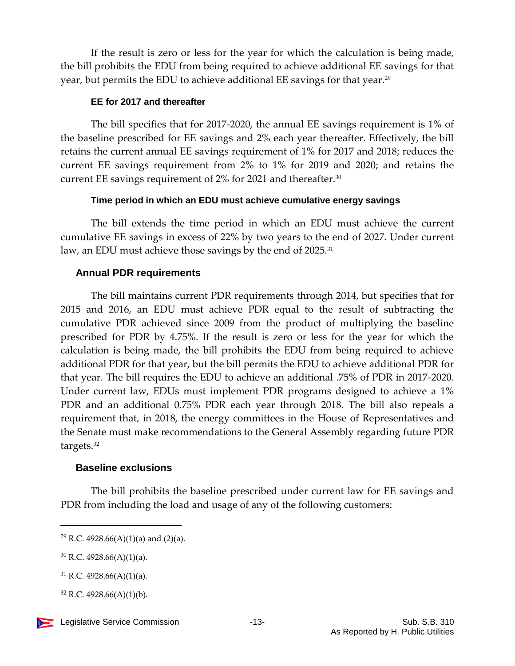If the result is zero or less for the year for which the calculation is being made, the bill prohibits the EDU from being required to achieve additional EE savings for that year, but permits the EDU to achieve additional EE savings for that year.<sup>29</sup>

#### **EE for 2017 and thereafter**

<span id="page-12-0"></span>The bill specifies that for 2017-2020, the annual EE savings requirement is 1% of the baseline prescribed for EE savings and 2% each year thereafter. Effectively, the bill retains the current annual EE savings requirement of 1% for 2017 and 2018; reduces the current EE savings requirement from 2% to 1% for 2019 and 2020; and retains the current EE savings requirement of 2% for 2021 and thereafter.<sup>30</sup>

#### **Time period in which an EDU must achieve cumulative energy savings**

<span id="page-12-1"></span>The bill extends the time period in which an EDU must achieve the current cumulative EE savings in excess of 22% by two years to the end of 2027. Under current law, an EDU must achieve those savings by the end of 2025.<sup>31</sup>

#### <span id="page-12-2"></span>**Annual PDR requirements**

The bill maintains current PDR requirements through 2014, but specifies that for 2015 and 2016, an EDU must achieve PDR equal to the result of subtracting the cumulative PDR achieved since 2009 from the product of multiplying the baseline prescribed for PDR by 4.75%. If the result is zero or less for the year for which the calculation is being made, the bill prohibits the EDU from being required to achieve additional PDR for that year, but the bill permits the EDU to achieve additional PDR for that year. The bill requires the EDU to achieve an additional .75% of PDR in 2017-2020. Under current law, EDUs must implement PDR programs designed to achieve a 1% PDR and an additional 0.75% PDR each year through 2018. The bill also repeals a requirement that, in 2018, the energy committees in the House of Representatives and the Senate must make recommendations to the General Assembly regarding future PDR targets.<sup>32</sup>

#### <span id="page-12-3"></span>**Baseline exclusions**

The bill prohibits the baseline prescribed under current law for EE savings and PDR from including the load and usage of any of the following customers:

 $32$  R.C. 4928.66(A)(1)(b).



<sup>&</sup>lt;sup>29</sup> R.C. 4928.66(A)(1)(a) and (2)(a).

 $30$  R.C. 4928.66(A)(1)(a).

<sup>31</sup> R.C. 4928.66(A)(1)(a).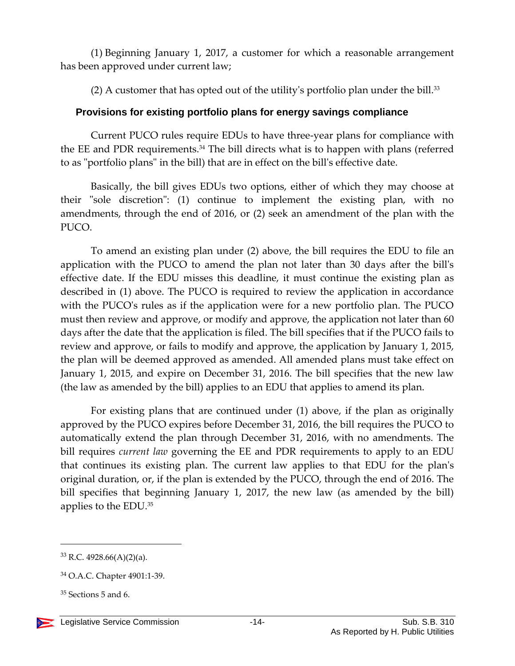(1) Beginning January 1, 2017, a customer for which a reasonable arrangement has been approved under current law;

(2) A customer that has opted out of the utility's portfolio plan under the bill. $33$ 

#### <span id="page-13-0"></span>**Provisions for existing portfolio plans for energy savings compliance**

Current PUCO rules require EDUs to have three-year plans for compliance with the EE and PDR requirements.<sup>34</sup> The bill directs what is to happen with plans (referred to as "portfolio plans" in the bill) that are in effect on the bill's effective date.

Basically, the bill gives EDUs two options, either of which they may choose at their "sole discretion": (1) continue to implement the existing plan, with no amendments, through the end of 2016, or (2) seek an amendment of the plan with the PUCO.

To amend an existing plan under (2) above, the bill requires the EDU to file an application with the PUCO to amend the plan not later than 30 days after the bill's effective date. If the EDU misses this deadline, it must continue the existing plan as described in (1) above. The PUCO is required to review the application in accordance with the PUCO's rules as if the application were for a new portfolio plan. The PUCO must then review and approve, or modify and approve, the application not later than 60 days after the date that the application is filed. The bill specifies that if the PUCO fails to review and approve, or fails to modify and approve, the application by January 1, 2015, the plan will be deemed approved as amended. All amended plans must take effect on January 1, 2015, and expire on December 31, 2016. The bill specifies that the new law (the law as amended by the bill) applies to an EDU that applies to amend its plan.

For existing plans that are continued under (1) above, if the plan as originally approved by the PUCO expires before December 31, 2016, the bill requires the PUCO to automatically extend the plan through December 31, 2016, with no amendments. The bill requires *current law* governing the EE and PDR requirements to apply to an EDU that continues its existing plan. The current law applies to that EDU for the plan's original duration, or, if the plan is extended by the PUCO, through the end of 2016. The bill specifies that beginning January 1, 2017, the new law (as amended by the bill) applies to the EDU.<sup>35</sup>

 $33$  R.C. 4928.66(A)(2)(a).

<sup>34</sup> O.A.C. Chapter 4901:1-39.

 $35$  Sections 5 and 6.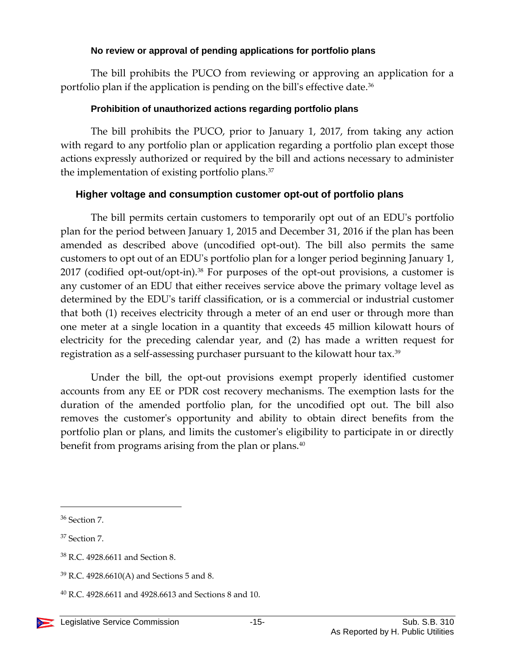#### **No review or approval of pending applications for portfolio plans**

<span id="page-14-0"></span>The bill prohibits the PUCO from reviewing or approving an application for a portfolio plan if the application is pending on the bill's effective date.<sup>36</sup>

#### **Prohibition of unauthorized actions regarding portfolio plans**

<span id="page-14-1"></span>The bill prohibits the PUCO, prior to January 1, 2017, from taking any action with regard to any portfolio plan or application regarding a portfolio plan except those actions expressly authorized or required by the bill and actions necessary to administer the implementation of existing portfolio plans.<sup>37</sup>

#### <span id="page-14-2"></span>**Higher voltage and consumption customer opt-out of portfolio plans**

The bill permits certain customers to temporarily opt out of an EDU's portfolio plan for the period between January 1, 2015 and December 31, 2016 if the plan has been amended as described above (uncodified opt-out). The bill also permits the same customers to opt out of an EDU's portfolio plan for a longer period beginning January 1, 2017 (codified opt-out/opt-in).<sup>38</sup> For purposes of the opt-out provisions, a customer is any customer of an EDU that either receives service above the primary voltage level as determined by the EDU's tariff classification, or is a commercial or industrial customer that both (1) receives electricity through a meter of an end user or through more than one meter at a single location in a quantity that exceeds 45 million kilowatt hours of electricity for the preceding calendar year, and (2) has made a written request for registration as a self-assessing purchaser pursuant to the kilowatt hour tax.<sup>39</sup>

Under the bill, the opt-out provisions exempt properly identified customer accounts from any EE or PDR cost recovery mechanisms. The exemption lasts for the duration of the amended portfolio plan, for the uncodified opt out. The bill also removes the customer's opportunity and ability to obtain direct benefits from the portfolio plan or plans, and limits the customer's eligibility to participate in or directly benefit from programs arising from the plan or plans.<sup>40</sup>

<sup>36</sup> Section 7.

<sup>&</sup>lt;sup>37</sup> Section 7.

<sup>38</sup> R.C. 4928.6611 and Section 8.

 $39$  R.C. 4928.6610(A) and Sections 5 and 8.

 $^{40}$  R.C. 4928.6611 and 4928.6613 and Sections 8 and 10.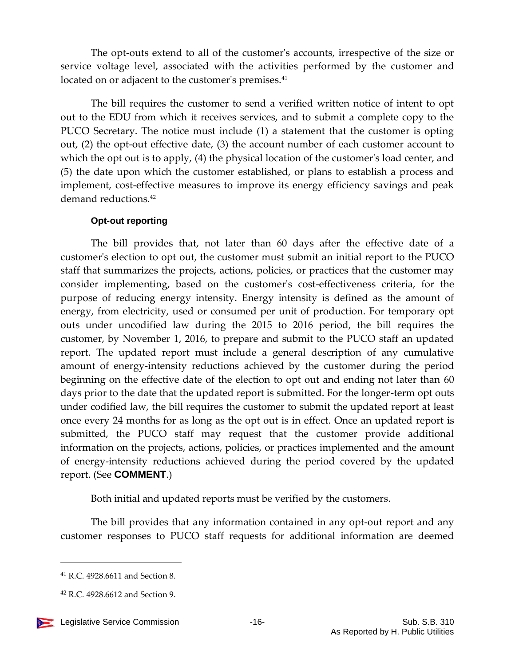The opt-outs extend to all of the customer's accounts, irrespective of the size or service voltage level, associated with the activities performed by the customer and located on or adjacent to the customer's premises.<sup>41</sup>

The bill requires the customer to send a verified written notice of intent to opt out to the EDU from which it receives services, and to submit a complete copy to the PUCO Secretary. The notice must include (1) a statement that the customer is opting out, (2) the opt-out effective date, (3) the account number of each customer account to which the opt out is to apply, (4) the physical location of the customer's load center, and (5) the date upon which the customer established, or plans to establish a process and implement, cost-effective measures to improve its energy efficiency savings and peak demand reductions.<sup>42</sup>

#### **Opt-out reporting**

<span id="page-15-0"></span>The bill provides that, not later than 60 days after the effective date of a customer's election to opt out, the customer must submit an initial report to the PUCO staff that summarizes the projects, actions, policies, or practices that the customer may consider implementing, based on the customer's cost-effectiveness criteria, for the purpose of reducing energy intensity. Energy intensity is defined as the amount of energy, from electricity, used or consumed per unit of production. For temporary opt outs under uncodified law during the 2015 to 2016 period, the bill requires the customer, by November 1, 2016, to prepare and submit to the PUCO staff an updated report. The updated report must include a general description of any cumulative amount of energy-intensity reductions achieved by the customer during the period beginning on the effective date of the election to opt out and ending not later than 60 days prior to the date that the updated report is submitted. For the longer-term opt outs under codified law, the bill requires the customer to submit the updated report at least once every 24 months for as long as the opt out is in effect. Once an updated report is submitted, the PUCO staff may request that the customer provide additional information on the projects, actions, policies, or practices implemented and the amount of energy-intensity reductions achieved during the period covered by the updated report. (See **COMMENT**.)

Both initial and updated reports must be verified by the customers.

The bill provides that any information contained in any opt-out report and any customer responses to PUCO staff requests for additional information are deemed

 $42$  R.C. 4928.6612 and Section 9.



<sup>41</sup> R.C. 4928.6611 and Section 8.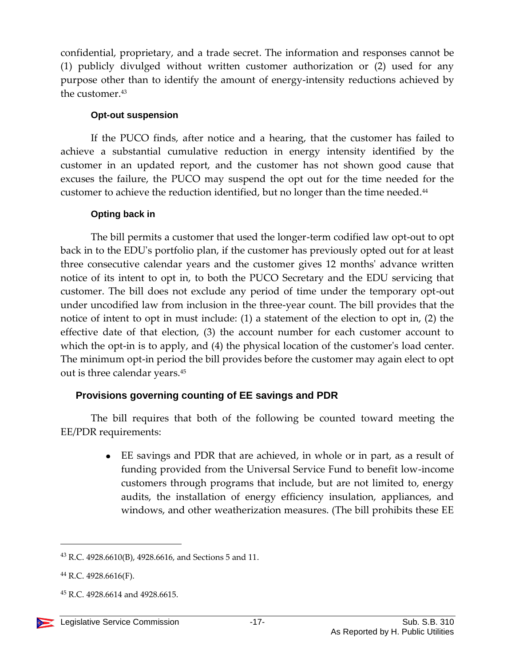confidential, proprietary, and a trade secret. The information and responses cannot be (1) publicly divulged without written customer authorization or (2) used for any purpose other than to identify the amount of energy-intensity reductions achieved by the customer.<sup>43</sup>

#### **Opt-out suspension**

<span id="page-16-0"></span>If the PUCO finds, after notice and a hearing, that the customer has failed to achieve a substantial cumulative reduction in energy intensity identified by the customer in an updated report, and the customer has not shown good cause that excuses the failure, the PUCO may suspend the opt out for the time needed for the customer to achieve the reduction identified, but no longer than the time needed. 44

#### **Opting back in**

<span id="page-16-1"></span>The bill permits a customer that used the longer-term codified law opt-out to opt back in to the EDU's portfolio plan, if the customer has previously opted out for at least three consecutive calendar years and the customer gives 12 months' advance written notice of its intent to opt in, to both the PUCO Secretary and the EDU servicing that customer. The bill does not exclude any period of time under the temporary opt-out under uncodified law from inclusion in the three-year count. The bill provides that the notice of intent to opt in must include: (1) a statement of the election to opt in, (2) the effective date of that election, (3) the account number for each customer account to which the opt-in is to apply, and (4) the physical location of the customer's load center. The minimum opt-in period the bill provides before the customer may again elect to opt out is three calendar years.<sup>45</sup>

## <span id="page-16-2"></span>**Provisions governing counting of EE savings and PDR**

The bill requires that both of the following be counted toward meeting the EE/PDR requirements:

> EE savings and PDR that are achieved, in whole or in part, as a result of funding provided from the Universal Service Fund to benefit low-income customers through programs that include, but are not limited to, energy audits, the installation of energy efficiency insulation, appliances, and windows, and other weatherization measures. (The bill prohibits these EE

<sup>43</sup> R.C. 4928.6610(B), 4928.6616, and Sections 5 and 11.

<sup>44</sup> R.C. 4928.6616(F).

<sup>45</sup> R.C. 4928.6614 and 4928.6615.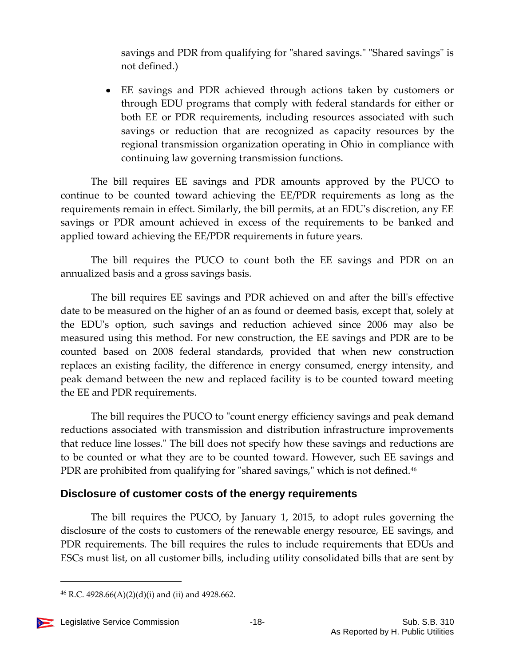savings and PDR from qualifying for "shared savings." "Shared savings" is not defined.)

EE savings and PDR achieved through actions taken by customers or through EDU programs that comply with federal standards for either or both EE or PDR requirements, including resources associated with such savings or reduction that are recognized as capacity resources by the regional transmission organization operating in Ohio in compliance with continuing law governing transmission functions.

The bill requires EE savings and PDR amounts approved by the PUCO to continue to be counted toward achieving the EE/PDR requirements as long as the requirements remain in effect. Similarly, the bill permits, at an EDU's discretion, any EE savings or PDR amount achieved in excess of the requirements to be banked and applied toward achieving the EE/PDR requirements in future years.

The bill requires the PUCO to count both the EE savings and PDR on an annualized basis and a gross savings basis.

The bill requires EE savings and PDR achieved on and after the bill's effective date to be measured on the higher of an as found or deemed basis, except that, solely at the EDU's option, such savings and reduction achieved since 2006 may also be measured using this method. For new construction, the EE savings and PDR are to be counted based on 2008 federal standards, provided that when new construction replaces an existing facility, the difference in energy consumed, energy intensity, and peak demand between the new and replaced facility is to be counted toward meeting the EE and PDR requirements.

The bill requires the PUCO to "count energy efficiency savings and peak demand reductions associated with transmission and distribution infrastructure improvements that reduce line losses." The bill does not specify how these savings and reductions are to be counted or what they are to be counted toward. However, such EE savings and PDR are prohibited from qualifying for "shared savings," which is not defined.<sup>46</sup>

## <span id="page-17-0"></span>**Disclosure of customer costs of the energy requirements**

The bill requires the PUCO, by January 1, 2015, to adopt rules governing the disclosure of the costs to customers of the renewable energy resource, EE savings, and PDR requirements. The bill requires the rules to include requirements that EDUs and ESCs must list, on all customer bills, including utility consolidated bills that are sent by

 $^{46}$  R.C. 4928.66(A)(2)(d)(i) and (ii) and 4928.662.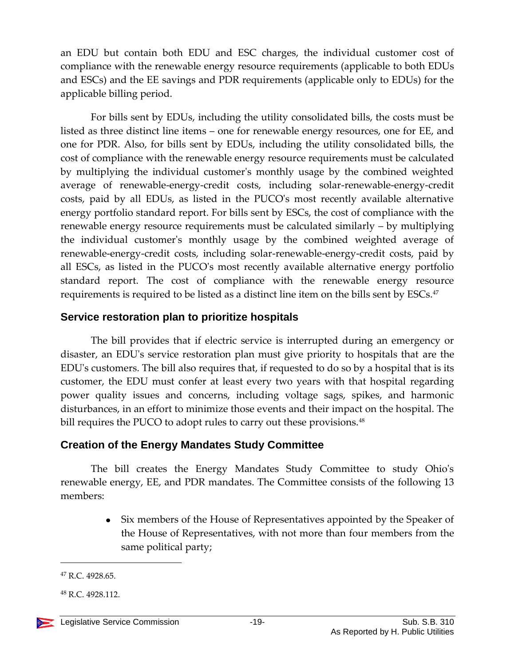an EDU but contain both EDU and ESC charges, the individual customer cost of compliance with the renewable energy resource requirements (applicable to both EDUs and ESCs) and the EE savings and PDR requirements (applicable only to EDUs) for the applicable billing period.

For bills sent by EDUs, including the utility consolidated bills, the costs must be listed as three distinct line items – one for renewable energy resources, one for EE, and one for PDR. Also, for bills sent by EDUs, including the utility consolidated bills, the cost of compliance with the renewable energy resource requirements must be calculated by multiplying the individual customer's monthly usage by the combined weighted average of renewable-energy-credit costs, including solar-renewable-energy-credit costs, paid by all EDUs, as listed in the PUCO's most recently available alternative energy portfolio standard report. For bills sent by ESCs, the cost of compliance with the renewable energy resource requirements must be calculated similarly – by multiplying the individual customer's monthly usage by the combined weighted average of renewable-energy-credit costs, including solar-renewable-energy-credit costs, paid by all ESCs, as listed in the PUCO's most recently available alternative energy portfolio standard report. The cost of compliance with the renewable energy resource requirements is required to be listed as a distinct line item on the bills sent by ESCs.<sup>47</sup>

## <span id="page-18-0"></span>**Service restoration plan to prioritize hospitals**

The bill provides that if electric service is interrupted during an emergency or disaster, an EDU's service restoration plan must give priority to hospitals that are the EDU's customers. The bill also requires that, if requested to do so by a hospital that is its customer, the EDU must confer at least every two years with that hospital regarding power quality issues and concerns, including voltage sags, spikes, and harmonic disturbances, in an effort to minimize those events and their impact on the hospital. The bill requires the PUCO to adopt rules to carry out these provisions.<sup>48</sup>

## <span id="page-18-1"></span>**Creation of the Energy Mandates Study Committee**

The bill creates the Energy Mandates Study Committee to study Ohio's renewable energy, EE, and PDR mandates. The Committee consists of the following 13 members:

> Six members of the House of Representatives appointed by the Speaker of  $\bullet$ the House of Representatives, with not more than four members from the same political party;

<sup>&</sup>lt;sup>47</sup> R.C. 4928.65.

<sup>48</sup> R.C. 4928.112.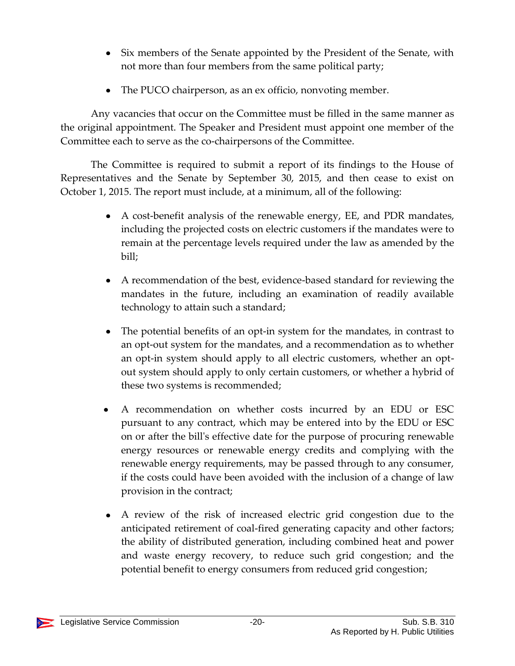- Six members of the Senate appointed by the President of the Senate, with not more than four members from the same political party;
- The PUCO chairperson, as an ex officio, nonvoting member.

Any vacancies that occur on the Committee must be filled in the same manner as the original appointment. The Speaker and President must appoint one member of the Committee each to serve as the co-chairpersons of the Committee.

The Committee is required to submit a report of its findings to the House of Representatives and the Senate by September 30, 2015, and then cease to exist on October 1, 2015. The report must include, at a minimum, all of the following:

- A cost-benefit analysis of the renewable energy, EE, and PDR mandates, including the projected costs on electric customers if the mandates were to remain at the percentage levels required under the law as amended by the bill;
- A recommendation of the best, evidence-based standard for reviewing the mandates in the future, including an examination of readily available technology to attain such a standard;
- $\bullet$ The potential benefits of an opt-in system for the mandates, in contrast to an opt-out system for the mandates, and a recommendation as to whether an opt-in system should apply to all electric customers, whether an optout system should apply to only certain customers, or whether a hybrid of these two systems is recommended;
- A recommendation on whether costs incurred by an EDU or ESC pursuant to any contract, which may be entered into by the EDU or ESC on or after the bill's effective date for the purpose of procuring renewable energy resources or renewable energy credits and complying with the renewable energy requirements, may be passed through to any consumer, if the costs could have been avoided with the inclusion of a change of law provision in the contract;
- A review of the risk of increased electric grid congestion due to the anticipated retirement of coal-fired generating capacity and other factors; the ability of distributed generation, including combined heat and power and waste energy recovery, to reduce such grid congestion; and the potential benefit to energy consumers from reduced grid congestion;

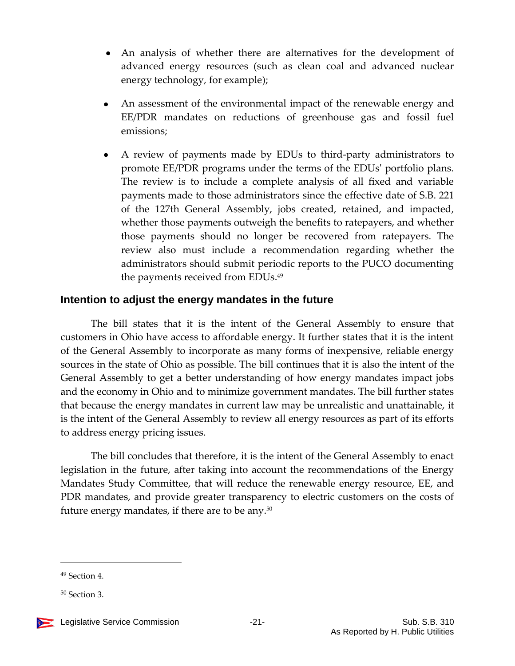- An analysis of whether there are alternatives for the development of advanced energy resources (such as clean coal and advanced nuclear energy technology, for example);
- An assessment of the environmental impact of the renewable energy and EE/PDR mandates on reductions of greenhouse gas and fossil fuel emissions;
- A review of payments made by EDUs to third-party administrators to promote EE/PDR programs under the terms of the EDUs' portfolio plans. The review is to include a complete analysis of all fixed and variable payments made to those administrators since the effective date of S.B. 221 of the 127th General Assembly, jobs created, retained, and impacted, whether those payments outweigh the benefits to ratepayers, and whether those payments should no longer be recovered from ratepayers. The review also must include a recommendation regarding whether the administrators should submit periodic reports to the PUCO documenting the payments received from EDUs. 49

## <span id="page-20-0"></span>**Intention to adjust the energy mandates in the future**

The bill states that it is the intent of the General Assembly to ensure that customers in Ohio have access to affordable energy. It further states that it is the intent of the General Assembly to incorporate as many forms of inexpensive, reliable energy sources in the state of Ohio as possible. The bill continues that it is also the intent of the General Assembly to get a better understanding of how energy mandates impact jobs and the economy in Ohio and to minimize government mandates. The bill further states that because the energy mandates in current law may be unrealistic and unattainable, it is the intent of the General Assembly to review all energy resources as part of its efforts to address energy pricing issues.

The bill concludes that therefore, it is the intent of the General Assembly to enact legislation in the future, after taking into account the recommendations of the Energy Mandates Study Committee, that will reduce the renewable energy resource, EE, and PDR mandates, and provide greater transparency to electric customers on the costs of future energy mandates, if there are to be any.<sup>50</sup>

<sup>49</sup> Section 4.

 $50$  Section 3.